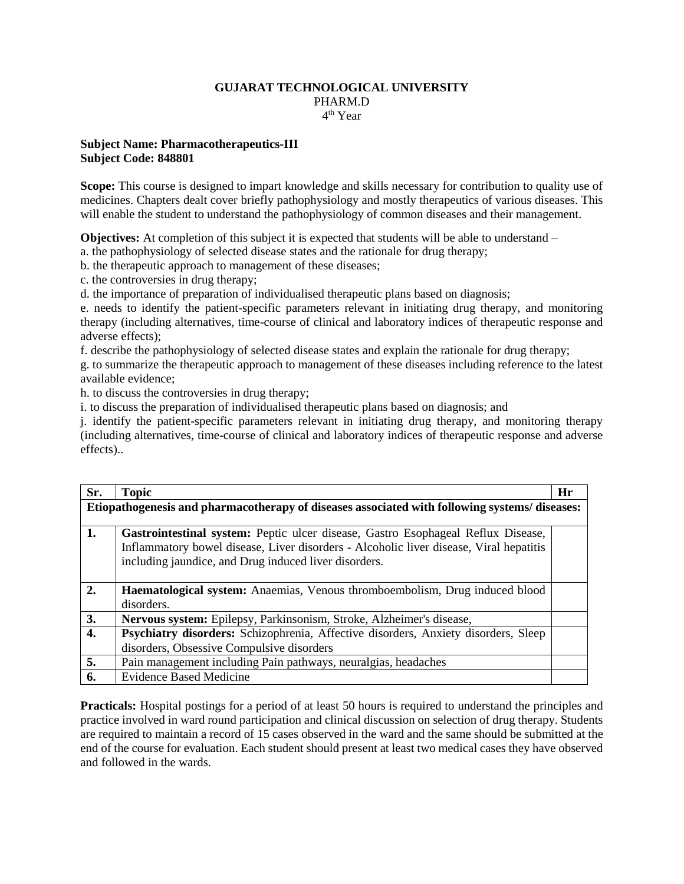## **GUJARAT TECHNOLOGICAL UNIVERSITY** PHARM.D 4 th Year

## **Subject Name: Pharmacotherapeutics-III Subject Code: 848801**

**Scope:** This course is designed to impart knowledge and skills necessary for contribution to quality use of medicines. Chapters dealt cover briefly pathophysiology and mostly therapeutics of various diseases. This will enable the student to understand the pathophysiology of common diseases and their management.

**Objectives:** At completion of this subject it is expected that students will be able to understand – a. the pathophysiology of selected disease states and the rationale for drug therapy;

b. the therapeutic approach to management of these diseases;

c. the controversies in drug therapy;

d. the importance of preparation of individualised therapeutic plans based on diagnosis;

e. needs to identify the patient-specific parameters relevant in initiating drug therapy, and monitoring therapy (including alternatives, time-course of clinical and laboratory indices of therapeutic response and adverse effects);

f. describe the pathophysiology of selected disease states and explain the rationale for drug therapy;

g. to summarize the therapeutic approach to management of these diseases including reference to the latest available evidence;

h. to discuss the controversies in drug therapy;

i. to discuss the preparation of individualised therapeutic plans based on diagnosis; and

j. identify the patient-specific parameters relevant in initiating drug therapy, and monitoring therapy (including alternatives, time-course of clinical and laboratory indices of therapeutic response and adverse effects)..

| Sr.                                                                                          | <b>Topic</b>                                                                           | Hr |
|----------------------------------------------------------------------------------------------|----------------------------------------------------------------------------------------|----|
| Etiopathogenesis and pharmacotherapy of diseases associated with following systems/diseases: |                                                                                        |    |
| 1.                                                                                           |                                                                                        |    |
|                                                                                              | Gastrointestinal system: Peptic ulcer disease, Gastro Esophageal Reflux Disease,       |    |
|                                                                                              | Inflammatory bowel disease, Liver disorders - Alcoholic liver disease, Viral hepatitis |    |
|                                                                                              | including jaundice, and Drug induced liver disorders.                                  |    |
|                                                                                              |                                                                                        |    |
| 2.                                                                                           | <b>Haematological system:</b> Anaemias, Venous thromboembolism, Drug induced blood     |    |
|                                                                                              | disorders.                                                                             |    |
| 3.                                                                                           | Nervous system: Epilepsy, Parkinsonism, Stroke, Alzheimer's disease,                   |    |
| 4.                                                                                           | Psychiatry disorders: Schizophrenia, Affective disorders, Anxiety disorders, Sleep     |    |
|                                                                                              | disorders, Obsessive Compulsive disorders                                              |    |
| 5.                                                                                           | Pain management including Pain pathways, neuralgias, headaches                         |    |
| 6.                                                                                           | <b>Evidence Based Medicine</b>                                                         |    |

**Practicals:** Hospital postings for a period of at least 50 hours is required to understand the principles and practice involved in ward round participation and clinical discussion on selection of drug therapy. Students are required to maintain a record of 15 cases observed in the ward and the same should be submitted at the end of the course for evaluation. Each student should present at least two medical cases they have observed and followed in the wards.